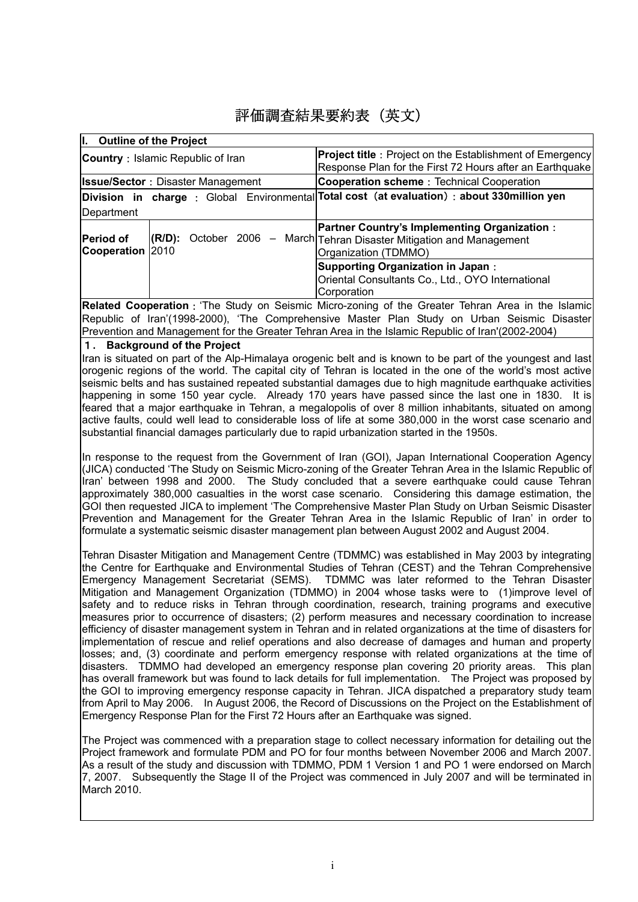# 評価調査結果要約表(英文)

| I. Outline of the Project                                             |                                                                                                                                |  |  |  |
|-----------------------------------------------------------------------|--------------------------------------------------------------------------------------------------------------------------------|--|--|--|
| <b>Country</b> : Islamic Republic of Iran                             | <b>Project title</b> : Project on the Establishment of Emergency                                                               |  |  |  |
|                                                                       | Response Plan for the First 72 Hours after an Earthquake                                                                       |  |  |  |
| <b>Issue/Sector: Disaster Management</b>                              | Cooperation scheme: Technical Cooperation                                                                                      |  |  |  |
|                                                                       | Division in charge: Global Environmental Total cost (at evaluation): about 330 million yen                                     |  |  |  |
| Department                                                            |                                                                                                                                |  |  |  |
| <b>Period of</b><br>October $2006 -$<br>$(R/D)$ :<br>Cooperation 2010 | <b>Partner Country's Implementing Organization:</b><br>March Tehran Disaster Mitigation and Management<br>Organization (TDMMO) |  |  |  |
|                                                                       | <b>Supporting Organization in Japan:</b><br>Oriental Consultants Co., Ltd., OYO International<br>Corporation                   |  |  |  |
|                                                                       | Deleted Cooperation, 'The Ctudy on Cojemic Micro zoning of the Creater Tebran Area in the Jolamia                              |  |  |  |

**Related Cooperation**:'The Study on Seismic Micro-zoning of the Greater Tehran Area in the Islamic Republic of Iran'(1998-2000), 'The Comprehensive Master Plan Study on Urban Seismic Disaster Prevention and Management for the Greater Tehran Area in the Islamic Republic of Iran'(2002-2004)

## 1**. Background of the Project**

Iran is situated on part of the Alp-Himalaya orogenic belt and is known to be part of the youngest and last orogenic regions of the world. The capital city of Tehran is located in the one of the world's most active seismic belts and has sustained repeated substantial damages due to high magnitude earthquake activities happening in some 150 year cycle. Already 170 years have passed since the last one in 1830. It is feared that a major earthquake in Tehran, a megalopolis of over 8 million inhabitants, situated on among active faults, could well lead to considerable loss of life at some 380,000 in the worst case scenario and substantial financial damages particularly due to rapid urbanization started in the 1950s.

In response to the request from the Government of Iran (GOI), Japan International Cooperation Agency (JICA) conducted 'The Study on Seismic Micro-zoning of the Greater Tehran Area in the Islamic Republic of Iran' between 1998 and 2000. The Study concluded that a severe earthquake could cause Tehran approximately 380,000 casualties in the worst case scenario. Considering this damage estimation, the GOI then requested JICA to implement 'The Comprehensive Master Plan Study on Urban Seismic Disaster Prevention and Management for the Greater Tehran Area in the Islamic Republic of Iran' in order to formulate a systematic seismic disaster management plan between August 2002 and August 2004.

Tehran Disaster Mitigation and Management Centre (TDMMC) was established in May 2003 by integrating the Centre for Earthquake and Environmental Studies of Tehran (CEST) and the Tehran Comprehensive Emergency Management Secretariat (SEMS). TDMMC was later reformed to the Tehran Disaster Mitigation and Management Organization (TDMMO) in 2004 whose tasks were to (1)improve level of safety and to reduce risks in Tehran through coordination, research, training programs and executive measures prior to occurrence of disasters; (2) perform measures and necessary coordination to increase efficiency of disaster management system in Tehran and in related organizations at the time of disasters for implementation of rescue and relief operations and also decrease of damages and human and property losses; and, (3) coordinate and perform emergency response with related organizations at the time of disasters. TDMMO had developed an emergency response plan covering 20 priority areas. This plan has overall framework but was found to lack details for full implementation. The Project was proposed by the GOI to improving emergency response capacity in Tehran. JICA dispatched a preparatory study team from April to May 2006. In August 2006, the Record of Discussions on the Project on the Establishment of Emergency Response Plan for the First 72 Hours after an Earthquake was signed.

The Project was commenced with a preparation stage to collect necessary information for detailing out the Project framework and formulate PDM and PO for four months between November 2006 and March 2007. As a result of the study and discussion with TDMMO, PDM 1 Version 1 and PO 1 were endorsed on March 7, 2007. Subsequently the Stage II of the Project was commenced in July 2007 and will be terminated in March 2010.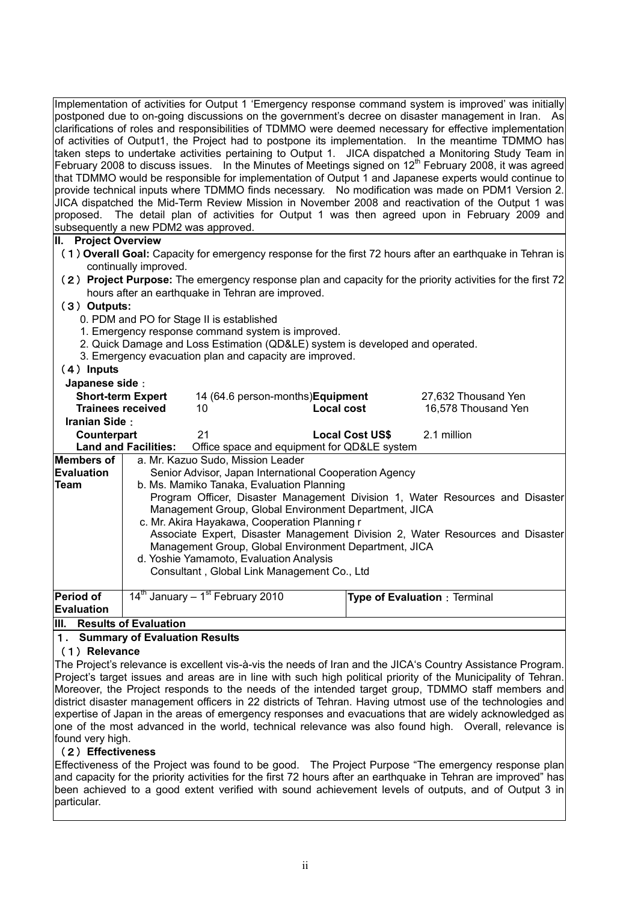Implementation of activities for Output 1 'Emergency response command system is improved' was initially postponed due to on-going discussions on the government's decree on disaster management in Iran. As clarifications of roles and responsibilities of TDMMO were deemed necessary for effective implementation of activities of Output1, the Project had to postpone its implementation. In the meantime TDMMO has taken steps to undertake activities pertaining to Output 1. JICA dispatched a Monitoring Study Team in February 2008 to discuss issues. In the Minutes of Meetings signed on  $12<sup>th</sup>$  February 2008, it was agreed that TDMMO would be responsible for implementation of Output 1 and Japanese experts would continue to provide technical inputs where TDMMO finds necessary. No modification was made on PDM1 Version 2. JICA dispatched the Mid-Term Review Mission in November 2008 and reactivation of the Output 1 was proposed. The detail plan of activities for Output 1 was then agreed upon in February 2009 and subsequently a new PDM2 was approved. **II. Project Overview** 

- (1)**Overall Goal:** Capacity for emergency response for the first 72 hours after an earthquake in Tehran is continually improved.
- (2)**Project Purpose:** The emergency response plan and capacity for the priority activities for the first 72 hours after an earthquake in Tehran are improved.

## (3)**Outputs:**

- 0. PDM and PO for Stage II is established
- 1. Emergency response command system is improved.
- 2. Quick Damage and Loss Estimation (QD&LE) system is developed and operated.
- 3. Emergency evacuation plan and capacity are improved.

## (4)**Inputs**

#### **Japanese side**:

| Japanese sige :                         |                                                                                                                                                                                                                                                                                                                                    |                                                          |                                             |                        |                                     |                     |  |  |  |
|-----------------------------------------|------------------------------------------------------------------------------------------------------------------------------------------------------------------------------------------------------------------------------------------------------------------------------------------------------------------------------------|----------------------------------------------------------|---------------------------------------------|------------------------|-------------------------------------|---------------------|--|--|--|
| <b>Short-term Expert</b>                |                                                                                                                                                                                                                                                                                                                                    | 14 (64.6 person-months) Equipment                        |                                             |                        |                                     | 27,632 Thousand Yen |  |  |  |
| <b>Trainees received</b>                |                                                                                                                                                                                                                                                                                                                                    | 10                                                       | <b>Local cost</b>                           |                        |                                     | 16,578 Thousand Yen |  |  |  |
| Iranian Side:                           |                                                                                                                                                                                                                                                                                                                                    |                                                          |                                             |                        |                                     |                     |  |  |  |
| Counterpart                             |                                                                                                                                                                                                                                                                                                                                    | 21                                                       |                                             | <b>Local Cost US\$</b> | 2.1 million                         |                     |  |  |  |
|                                         | <b>Land and Facilities:</b>                                                                                                                                                                                                                                                                                                        |                                                          | Office space and equipment for QD&LE system |                        |                                     |                     |  |  |  |
| Members of                              |                                                                                                                                                                                                                                                                                                                                    | a. Mr. Kazuo Sudo, Mission Leader                        |                                             |                        |                                     |                     |  |  |  |
| <b>IEvaluation</b>                      | Senior Advisor, Japan International Cooperation Agency                                                                                                                                                                                                                                                                             |                                                          |                                             |                        |                                     |                     |  |  |  |
| Team                                    | b. Ms. Mamiko Tanaka, Evaluation Planning                                                                                                                                                                                                                                                                                          |                                                          |                                             |                        |                                     |                     |  |  |  |
|                                         | Program Officer, Disaster Management Division 1, Water Resources and Disaster<br>Management Group, Global Environment Department, JICA<br>c. Mr. Akira Hayakawa, Cooperation Planning r<br>Associate Expert, Disaster Management Division 2, Water Resources and Disaster<br>Management Group, Global Environment Department, JICA |                                                          |                                             |                        |                                     |                     |  |  |  |
|                                         |                                                                                                                                                                                                                                                                                                                                    |                                                          |                                             |                        |                                     |                     |  |  |  |
| d. Yoshie Yamamoto, Evaluation Analysis |                                                                                                                                                                                                                                                                                                                                    |                                                          |                                             |                        |                                     |                     |  |  |  |
|                                         |                                                                                                                                                                                                                                                                                                                                    |                                                          | Consultant, Global Link Management Co., Ltd |                        |                                     |                     |  |  |  |
| Period of<br>Evaluation                 |                                                                                                                                                                                                                                                                                                                                    | 14 <sup>th</sup> January - 1 <sup>st</sup> February 2010 |                                             |                        | <b>Type of Evaluation: Terminal</b> |                     |  |  |  |
|                                         |                                                                                                                                                                                                                                                                                                                                    |                                                          |                                             |                        |                                     |                     |  |  |  |

#### **III. Results of Evaluation**

# 1**. Summary of Evaluation Results**

#### (1)**Relevance**

The Project's relevance is excellent vis-à-vis the needs of Iran and the JICA's Country Assistance Program. Project's target issues and areas are in line with such high political priority of the Municipality of Tehran. Moreover, the Project responds to the needs of the intended target group, TDMMO staff members and district disaster management officers in 22 districts of Tehran. Having utmost use of the technologies and expertise of Japan in the areas of emergency responses and evacuations that are widely acknowledged as one of the most advanced in the world, technical relevance was also found high. Overall, relevance is found very high.

# (2)**Effectiveness**

Effectiveness of the Project was found to be good. The Project Purpose "The emergency response plan and capacity for the priority activities for the first 72 hours after an earthquake in Tehran are improved" has been achieved to a good extent verified with sound achievement levels of outputs, and of Output 3 in particular.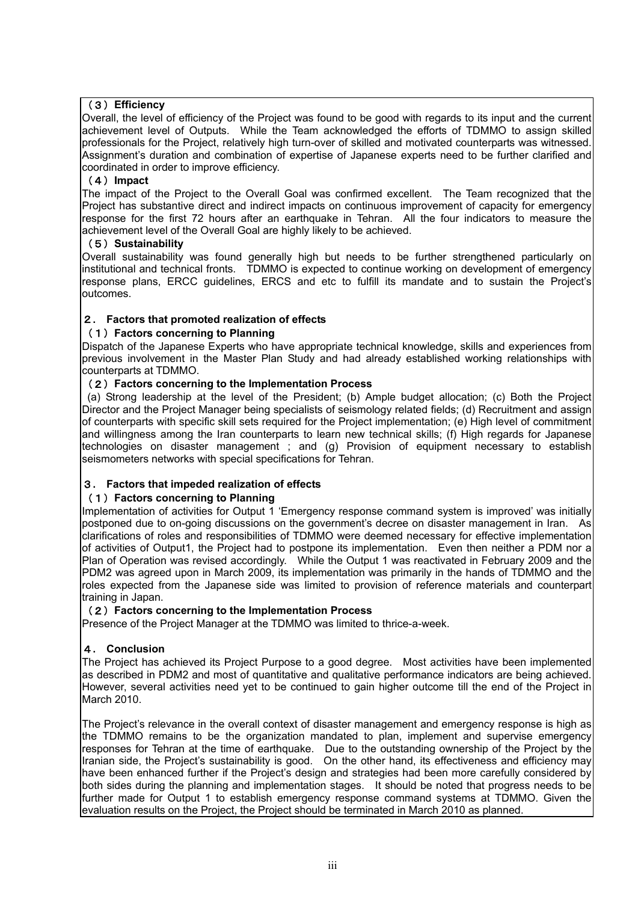# (3)**Efficiency**

Overall, the level of efficiency of the Project was found to be good with regards to its input and the current achievement level of Outputs. While the Team acknowledged the efforts of TDMMO to assign skilled professionals for the Project, relatively high turn-over of skilled and motivated counterparts was witnessed. Assignment's duration and combination of expertise of Japanese experts need to be further clarified and coordinated in order to improve efficiency.

## (4)**Impact**

The impact of the Project to the Overall Goal was confirmed excellent. The Team recognized that the Project has substantive direct and indirect impacts on continuous improvement of capacity for emergency response for the first 72 hours after an earthquake in Tehran. All the four indicators to measure the achievement level of the Overall Goal are highly likely to be achieved.

## (5)**Sustainability**

Overall sustainability was found generally high but needs to be further strengthened particularly on institutional and technical fronts. TDMMO is expected to continue working on development of emergency response plans, ERCC guidelines, ERCS and etc to fulfill its mandate and to sustain the Project's outcomes.

# 2**. Factors that promoted realization of effects**

## (1)**Factors concerning to Planning**

Dispatch of the Japanese Experts who have appropriate technical knowledge, skills and experiences from previous involvement in the Master Plan Study and had already established working relationships with counterparts at TDMMO.

## (2)**Factors concerning to the Implementation Process**

 (a) Strong leadership at the level of the President; (b) Ample budget allocation; (c) Both the Project Director and the Project Manager being specialists of seismology related fields; (d) Recruitment and assign of counterparts with specific skill sets required for the Project implementation; (e) High level of commitment and willingness among the Iran counterparts to learn new technical skills; (f) High regards for Japanese technologies on disaster management ; and (g) Provision of equipment necessary to establish seismometers networks with special specifications for Tehran.

# 3**. Factors that impeded realization of effects**

#### (1)**Factors concerning to Planning**

Implementation of activities for Output 1 'Emergency response command system is improved' was initially postponed due to on-going discussions on the government's decree on disaster management in Iran. As clarifications of roles and responsibilities of TDMMO were deemed necessary for effective implementation of activities of Output1, the Project had to postpone its implementation. Even then neither a PDM nor a Plan of Operation was revised accordingly. While the Output 1 was reactivated in February 2009 and the PDM2 was agreed upon in March 2009, its implementation was primarily in the hands of TDMMO and the roles expected from the Japanese side was limited to provision of reference materials and counterpart training in Japan.

#### (2)**Factors concerning to the Implementation Process**

Presence of the Project Manager at the TDMMO was limited to thrice-a-week.

# 4**. Conclusion**

The Project has achieved its Project Purpose to a good degree. Most activities have been implemented as described in PDM2 and most of quantitative and qualitative performance indicators are being achieved. However, several activities need yet to be continued to gain higher outcome till the end of the Project in March 2010.

The Project's relevance in the overall context of disaster management and emergency response is high as the TDMMO remains to be the organization mandated to plan, implement and supervise emergency responses for Tehran at the time of earthquake. Due to the outstanding ownership of the Project by the Iranian side, the Project's sustainability is good. On the other hand, its effectiveness and efficiency may have been enhanced further if the Project's design and strategies had been more carefully considered by both sides during the planning and implementation stages. It should be noted that progress needs to be further made for Output 1 to establish emergency response command systems at TDMMO. Given the evaluation results on the Project, the Project should be terminated in March 2010 as planned.